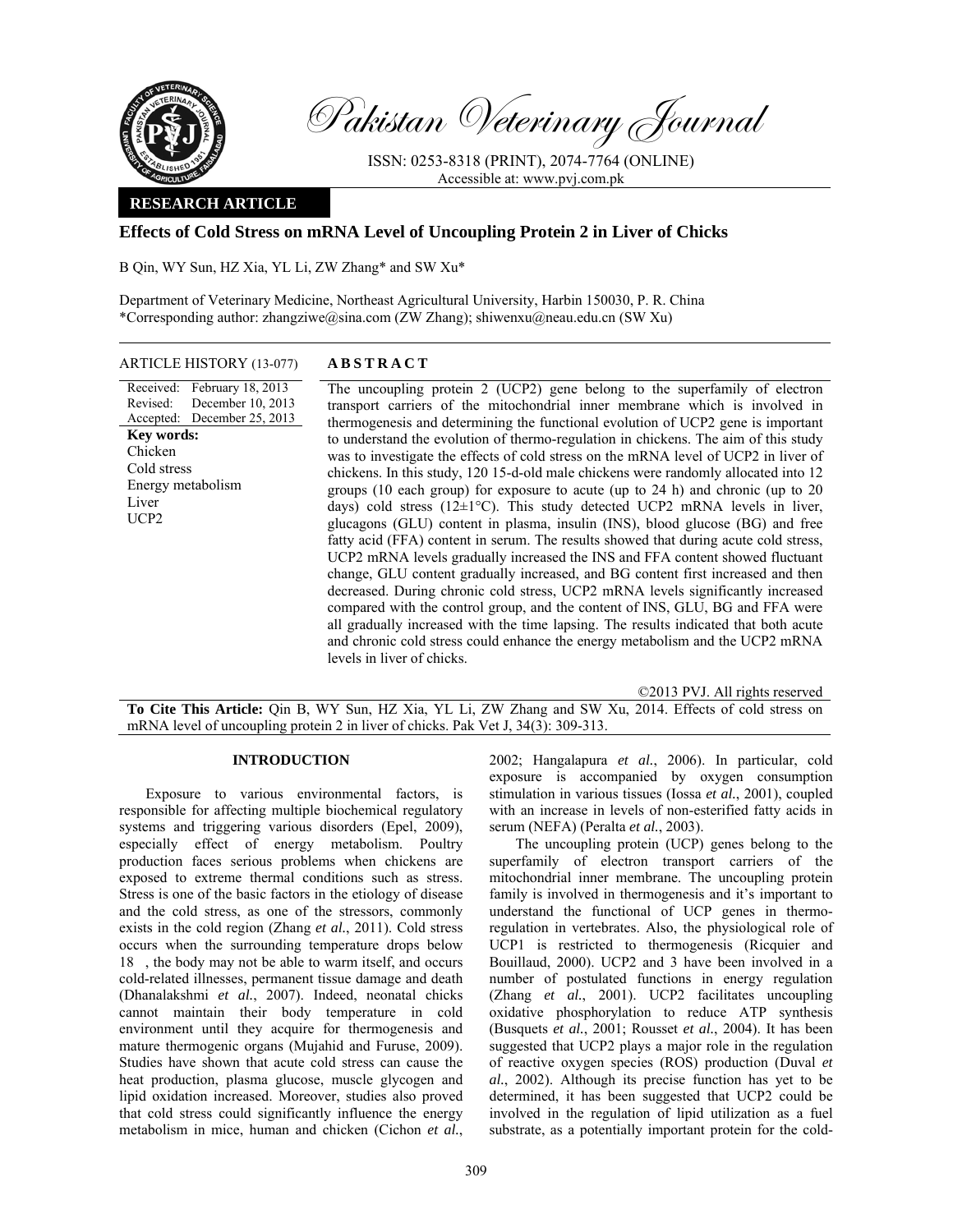

Pakistan Veterinary Journal

ISSN: 0253-8318 (PRINT), 2074-7764 (ONLINE) Accessible at: www.pvj.com.pk

# **RESEARCH ARTICLE**

# **Effects of Cold Stress on mRNA Level of Uncoupling Protein 2 in Liver of Chicks**

B Qin, WY Sun, HZ Xia, YL Li, ZW Zhang\* and SW Xu\*

Department of Veterinary Medicine, Northeast Agricultural University, Harbin 150030, P. R. China \*Corresponding author: zhangziwe@sina.com (ZW Zhang); shiwenxu@neau.edu.cn (SW Xu)

## ARTICLE HISTORY (13-077) **ABSTRACT**

Received: February 18, 2013 Revised: Accepted: December 25, 2013 December 10, 2013 **Key words:**  Chicken Cold stress Energy metabolism Liver UCP2

 The uncoupling protein 2 (UCP2) gene belong to the superfamily of electron transport carriers of the mitochondrial inner membrane which is involved in thermogenesis and determining the functional evolution of UCP2 gene is important to understand the evolution of thermo-regulation in chickens. The aim of this study was to investigate the effects of cold stress on the mRNA level of UCP2 in liver of chickens. In this study, 120 15-d-old male chickens were randomly allocated into 12 groups (10 each group) for exposure to acute (up to 24 h) and chronic (up to 20 days) cold stress ( $12\pm1\textdegree$ C). This study detected UCP2 mRNA levels in liver, glucagons (GLU) content in plasma, insulin (INS), blood glucose (BG) and free fatty acid (FFA) content in serum. The results showed that during acute cold stress, UCP2 mRNA levels gradually increased the INS and FFA content showed fluctuant change, GLU content gradually increased, and BG content first increased and then decreased. During chronic cold stress, UCP2 mRNA levels significantly increased compared with the control group, and the content of INS, GLU, BG and FFA were all gradually increased with the time lapsing. The results indicated that both acute and chronic cold stress could enhance the energy metabolism and the UCP2 mRNA levels in liver of chicks.

©2013 PVJ. All rights reserved

**To Cite This Article:** Qin B, WY Sun, HZ Xia, YL Li, ZW Zhang and SW Xu, 2014. Effects of cold stress on mRNA level of uncoupling protein 2 in liver of chicks. Pak Vet J, 34(3): 309-313.

### **INTRODUCTION**

Exposure to various environmental factors, is responsible for affecting multiple biochemical regulatory systems and triggering various disorders (Epel, 2009), especially effect of energy metabolism. Poultry production faces serious problems when chickens are exposed to extreme thermal conditions such as stress. Stress is one of the basic factors in the etiology of disease and the cold stress, as one of the stressors, commonly exists in the cold region (Zhang *et al.*, 2011). Cold stress occurs when the surrounding temperature drops below 18, the body may not be able to warm itself, and occurs cold-related illnesses, permanent tissue damage and death (Dhanalakshmi *et al.*, 2007). Indeed, neonatal chicks cannot maintain their body temperature in cold environment until they acquire for thermogenesis and mature thermogenic organs (Mujahid and Furuse, 2009). Studies have shown that acute cold stress can cause the heat production, plasma glucose, muscle glycogen and lipid oxidation increased. Moreover, studies also proved that cold stress could significantly influence the energy metabolism in mice, human and chicken (Cichon *et al.*,

2002; Hangalapura *et al.*, 2006). In particular, cold exposure is accompanied by oxygen consumption stimulation in various tissues (Iossa *et al.*, 2001), coupled with an increase in levels of non-esterified fatty acids in serum (NEFA) (Peralta *et al.*, 2003). The uncoupling protein (UCP) genes belong to the

superfamily of electron transport carriers of the mitochondrial inner membrane. The uncoupling protein family is involved in thermogenesis and it's important to understand the functional of UCP genes in thermoregulation in vertebrates. Also, the physiological role of UCP1 is restricted to thermogenesis (Ricquier and Bouillaud, 2000). UCP2 and 3 have been involved in a number of postulated functions in energy regulation (Zhang *et al.*, 2001). UCP2 facilitates uncoupling oxidative phosphorylation to reduce ATP synthesis (Busquets *et al.*, 2001; Rousset *et al.*, 2004). It has been suggested that UCP2 plays a major role in the regulation of reactive oxygen species (ROS) production (Duval *et al.*, 2002). Although its precise function has yet to be determined, it has been suggested that UCP2 could be involved in the regulation of lipid utilization as a fuel substrate, as a potentially important protein for the cold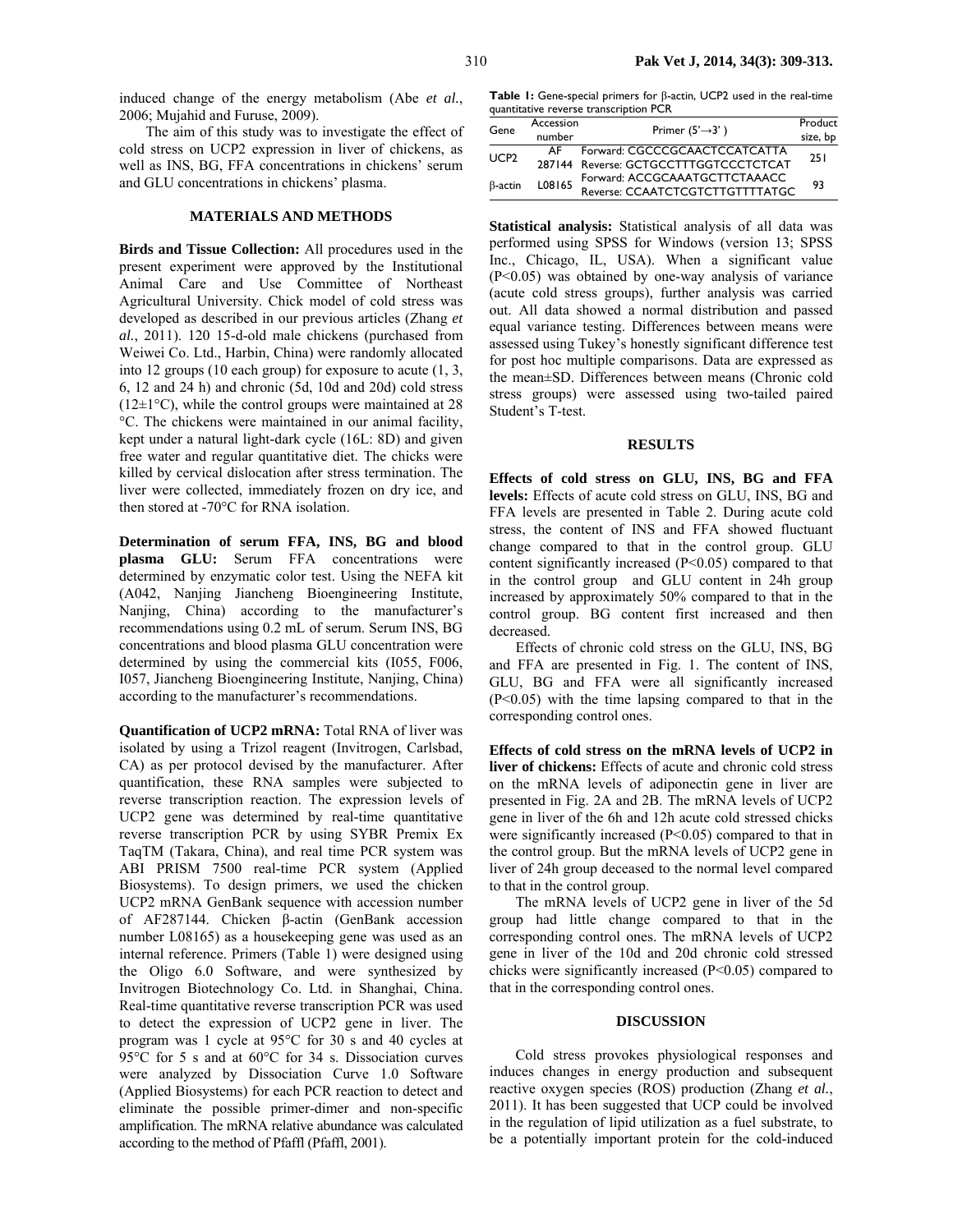induced change of the energy metabolism (Abe *et al.*, 2006; Mujahid and Furuse, 2009).

The aim of this study was to investigate the effect of cold stress on UCP2 expression in liver of chickens, as well as INS, BG, FFA concentrations in chickens' serum and GLU concentrations in chickens' plasma.

#### **MATERIALS AND METHODS**

**Birds and Tissue Collection:** All procedures used in the present experiment were approved by the Institutional Animal Care and Use Committee of Northeast Agricultural University. Chick model of cold stress was developed as described in our previous articles (Zhang *et al.*, 2011). 120 15-d-old male chickens (purchased from Weiwei Co. Ltd., Harbin, China) were randomly allocated into 12 groups (10 each group) for exposure to acute (1, 3, 6, 12 and 24 h) and chronic (5d, 10d and 20d) cold stress  $(12\pm1\degree C)$ , while the control groups were maintained at 28 °C. The chickens were maintained in our animal facility, kept under a natural light-dark cycle (16L: 8D) and given free water and regular quantitative diet. The chicks were killed by cervical dislocation after stress termination. The liver were collected, immediately frozen on dry ice, and then stored at -70°C for RNA isolation.

**Determination of serum FFA, INS, BG and blood plasma GLU:** Serum FFA concentrations were determined by enzymatic color test. Using the NEFA kit (A042, Nanjing Jiancheng Bioengineering Institute, Nanjing, China) according to the manufacturer's recommendations using 0.2 mL of serum. Serum INS, BG concentrations and blood plasma GLU concentration were determined by using the commercial kits (I055, F006, I057, Jiancheng Bioengineering Institute, Nanjing, China) according to the manufacturer's recommendations.

**Quantification of UCP2 mRNA:** Total RNA of liver was isolated by using a Trizol reagent (Invitrogen, Carlsbad, CA) as per protocol devised by the manufacturer. After quantification, these RNA samples were subjected to reverse transcription reaction. The expression levels of UCP2 gene was determined by real-time quantitative reverse transcription PCR by using SYBR Premix Ex TaqTM (Takara, China), and real time PCR system was ABI PRISM 7500 real-time PCR system (Applied Biosystems). To design primers, we used the chicken UCP2 mRNA GenBank sequence with accession number of AF287144. Chicken β-actin (GenBank accession number L08165) as a housekeeping gene was used as an internal reference. Primers (Table 1) were designed using the Oligo 6.0 Software, and were synthesized by Invitrogen Biotechnology Co. Ltd. in Shanghai, China. Real-time quantitative reverse transcription PCR was used to detect the expression of UCP2 gene in liver. The program was 1 cycle at 95°C for 30 s and 40 cycles at 95°C for 5 s and at 60°C for 34 s. Dissociation curves were analyzed by Dissociation Curve 1.0 Software (Applied Biosystems) for each PCR reaction to detect and eliminate the possible primer-dimer and non-specific amplification. The mRNA relative abundance was calculated according to the method of Pfaffl (Pfaffl, 2001).

**Table 1:** Gene-special primers for β-actin, UCP2 used in the real-time quantitative reverse transcription PCR

| Gene             | Accession<br>number | Primer $(5' \rightarrow 3')$                                           | Product<br>size, bp |
|------------------|---------------------|------------------------------------------------------------------------|---------------------|
| UCP <sub>2</sub> | AF.                 | Forward: CGCCCGCAACTCCATCATTA<br>287144 Reverse: GCTGCCTTTGGTCCCTCTCAT | 251                 |
| B-actin          | L08165              | Forward: ACCGCAAATGCTTCTAAACC<br>Reverse: CCAATCTCGTCTTGTTTTATGC       | 93                  |

**Statistical analysis:** Statistical analysis of all data was performed using SPSS for Windows (version 13; SPSS Inc., Chicago, IL, USA). When a significant value (P<0.05) was obtained by one-way analysis of variance (acute cold stress groups), further analysis was carried out. All data showed a normal distribution and passed equal variance testing. Differences between means were assessed using Tukey's honestly significant difference test for post hoc multiple comparisons. Data are expressed as the mean±SD. Differences between means (Chronic cold stress groups) were assessed using two-tailed paired Student's T-test.

### **RESULTS**

**Effects of cold stress on GLU, INS, BG and FFA levels:** Effects of acute cold stress on GLU, INS, BG and FFA levels are presented in Table 2. During acute cold stress, the content of INS and FFA showed fluctuant change compared to that in the control group. GLU content significantly increased (P<0.05) compared to that in the control group and GLU content in 24h group increased by approximately 50% compared to that in the control group. BG content first increased and then decreased.

Effects of chronic cold stress on the GLU, INS, BG and FFA are presented in Fig. 1. The content of INS, GLU, BG and FFA were all significantly increased (P<0.05) with the time lapsing compared to that in the corresponding control ones.

**Effects of cold stress on the mRNA levels of UCP2 in liver of chickens:** Effects of acute and chronic cold stress on the mRNA levels of adiponectin gene in liver are presented in Fig. 2A and 2B. The mRNA levels of UCP2 gene in liver of the 6h and 12h acute cold stressed chicks were significantly increased (P<0.05) compared to that in the control group. But the mRNA levels of UCP2 gene in liver of 24h group deceased to the normal level compared to that in the control group.

The mRNA levels of UCP2 gene in liver of the 5d group had little change compared to that in the corresponding control ones. The mRNA levels of UCP2 gene in liver of the 10d and 20d chronic cold stressed chicks were significantly increased (P<0.05) compared to that in the corresponding control ones.

## **DISCUSSION**

Cold stress provokes physiological responses and induces changes in energy production and subsequent reactive oxygen species (ROS) production (Zhang *et al.*, 2011). It has been suggested that UCP could be involved in the regulation of lipid utilization as a fuel substrate, to be a potentially important protein for the cold-induced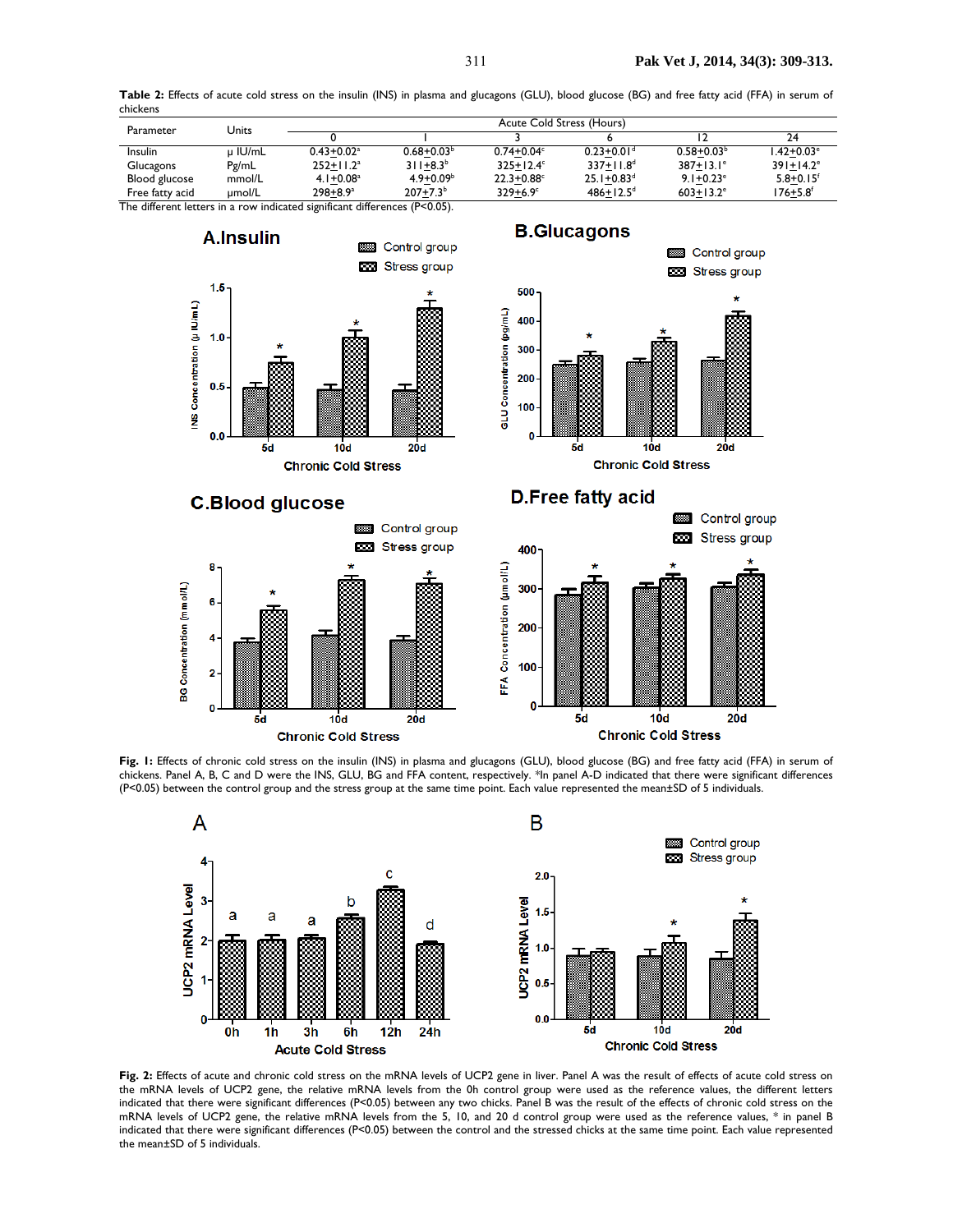

**Table 2:** Effects of acute cold stress on the insulin (INS) in plasma and glucagons (GLU), blood glucose (BG) and free fatty acid (FFA) in serum of chickens

**Fig. 1:** Effects of chronic cold stress on the insulin (INS) in plasma and glucagons (GLU), blood glucose (BG) and free fatty acid (FFA) in serum of chickens. Panel A, B, C and D were the INS, GLU, BG and FFA content, respectively. \*In panel A-D indicated that there were significant differences (P<0.05) between the control group and the stress group at the same time point. Each value represented the mean±SD of 5 individuals.



**Fig. 2:** Effects of acute and chronic cold stress on the mRNA levels of UCP2 gene in liver. Panel A was the result of effects of acute cold stress on the mRNA levels of UCP2 gene, the relative mRNA levels from the 0h control group were used as the reference values, the different letters indicated that there were significant differences (P<0.05) between any two chicks. Panel B was the result of the effects of chronic cold stress on the mRNA levels of UCP2 gene, the relative mRNA levels from the 5, 10, and 20 d control group were used as the reference values, \* in panel B indicated that there were significant differences (P<0.05) between the control and the stressed chicks at the same time point. Each value represented the mean±SD of 5 individuals.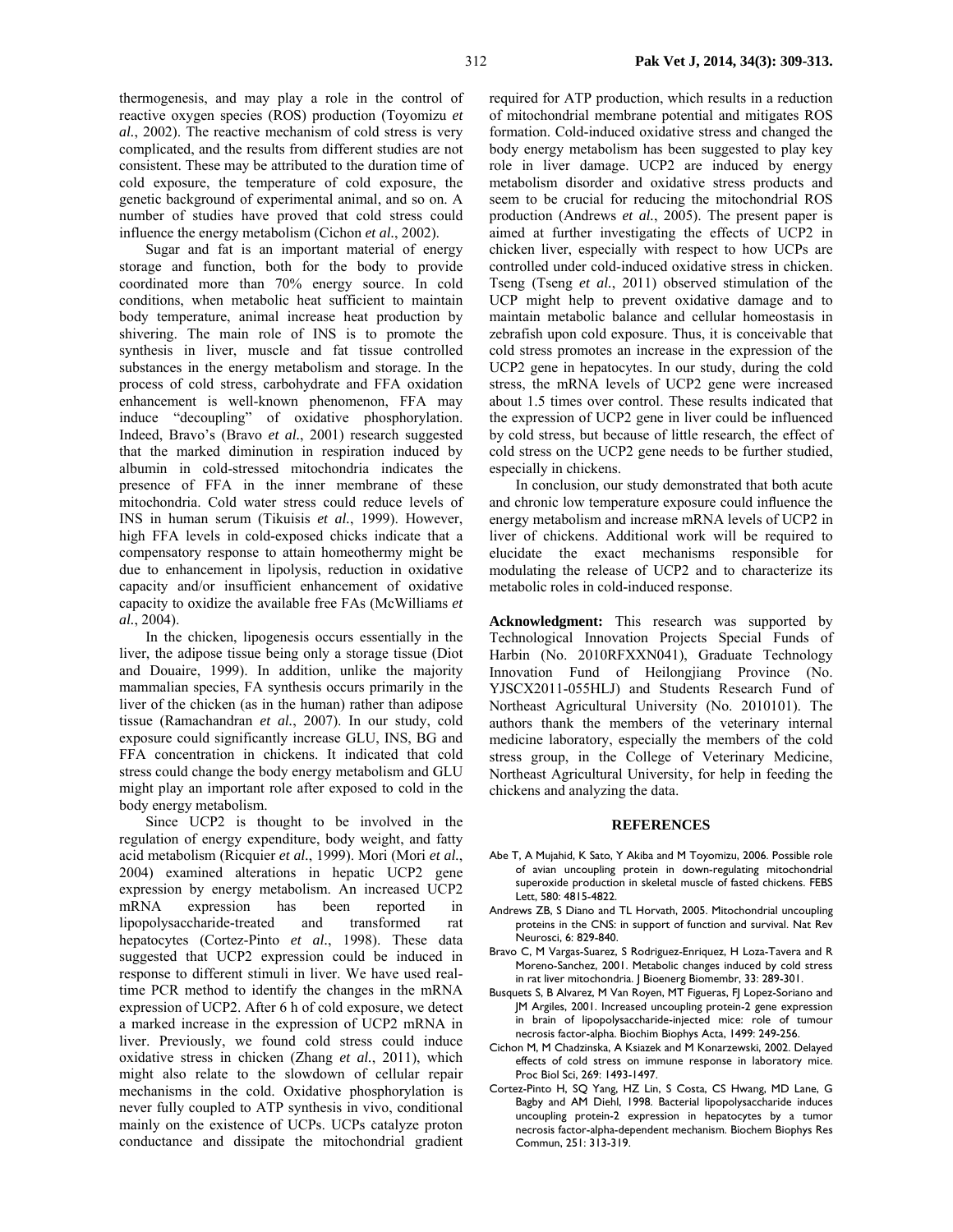thermogenesis, and may play a role in the control of reactive oxygen species (ROS) production (Toyomizu *et al.*, 2002). The reactive mechanism of cold stress is very complicated, and the results from different studies are not consistent. These may be attributed to the duration time of cold exposure, the temperature of cold exposure, the genetic background of experimental animal, and so on. A number of studies have proved that cold stress could influence the energy metabolism (Cichon *et al.*, 2002).

Sugar and fat is an important material of energy storage and function, both for the body to provide coordinated more than 70% energy source. In cold conditions, when metabolic heat sufficient to maintain body temperature, animal increase heat production by shivering. The main role of INS is to promote the synthesis in liver, muscle and fat tissue controlled substances in the energy metabolism and storage. In the process of cold stress, carbohydrate and FFA oxidation enhancement is well-known phenomenon, FFA may induce "decoupling" of oxidative phosphorylation. Indeed, Bravo's (Bravo *et al.*, 2001) research suggested that the marked diminution in respiration induced by albumin in cold-stressed mitochondria indicates the presence of FFA in the inner membrane of these mitochondria. Cold water stress could reduce levels of INS in human serum (Tikuisis *et al.*, 1999). However, high FFA levels in cold-exposed chicks indicate that a compensatory response to attain homeothermy might be due to enhancement in lipolysis, reduction in oxidative capacity and/or insufficient enhancement of oxidative capacity to oxidize the available free FAs (McWilliams *et al.*, 2004).

In the chicken, lipogenesis occurs essentially in the liver, the adipose tissue being only a storage tissue (Diot and Douaire, 1999). In addition, unlike the majority mammalian species, FA synthesis occurs primarily in the liver of the chicken (as in the human) rather than adipose tissue (Ramachandran *et al.*, 2007). In our study, cold exposure could significantly increase GLU, INS, BG and FFA concentration in chickens. It indicated that cold stress could change the body energy metabolism and GLU might play an important role after exposed to cold in the body energy metabolism.

Since UCP2 is thought to be involved in the regulation of energy expenditure, body weight, and fatty acid metabolism (Ricquier *et al.*, 1999). Mori (Mori *et al.*, 2004) examined alterations in hepatic UCP2 gene expression by energy metabolism. An increased UCP2 mRNA expression has been reported in lipopolysaccharide-treated and transformed rat hepatocytes (Cortez-Pinto *et al.*, 1998). These data suggested that UCP2 expression could be induced in response to different stimuli in liver. We have used realtime PCR method to identify the changes in the mRNA expression of UCP2. After 6 h of cold exposure, we detect a marked increase in the expression of UCP2 mRNA in liver. Previously, we found cold stress could induce oxidative stress in chicken (Zhang *et al.*, 2011), which might also relate to the slowdown of cellular repair mechanisms in the cold. Oxidative phosphorylation is never fully coupled to ATP synthesis in vivo, conditional mainly on the existence of UCPs. UCPs catalyze proton conductance and dissipate the mitochondrial gradient

required for ATP production, which results in a reduction of mitochondrial membrane potential and mitigates ROS formation. Cold-induced oxidative stress and changed the body energy metabolism has been suggested to play key role in liver damage. UCP2 are induced by energy metabolism disorder and oxidative stress products and seem to be crucial for reducing the mitochondrial ROS production (Andrews *et al.*, 2005). The present paper is aimed at further investigating the effects of UCP2 in chicken liver, especially with respect to how UCPs are controlled under cold-induced oxidative stress in chicken. Tseng (Tseng *et al.*, 2011) observed stimulation of the UCP might help to prevent oxidative damage and to maintain metabolic balance and cellular homeostasis in zebrafish upon cold exposure. Thus, it is conceivable that cold stress promotes an increase in the expression of the UCP2 gene in hepatocytes. In our study, during the cold stress, the mRNA levels of UCP2 gene were increased about 1.5 times over control. These results indicated that the expression of UCP2 gene in liver could be influenced by cold stress, but because of little research, the effect of cold stress on the UCP2 gene needs to be further studied, especially in chickens.

In conclusion, our study demonstrated that both acute and chronic low temperature exposure could influence the energy metabolism and increase mRNA levels of UCP2 in liver of chickens. Additional work will be required to elucidate the exact mechanisms responsible for modulating the release of UCP2 and to characterize its metabolic roles in cold-induced response.

**Acknowledgment:** This research was supported by Technological Innovation Projects Special Funds of Harbin (No. 2010RFXXN041), Graduate Technology Innovation Fund of Heilongjiang Province (No. YJSCX2011-055HLJ) and Students Research Fund of Northeast Agricultural University (No. 2010101). The authors thank the members of the veterinary internal medicine laboratory, especially the members of the cold stress group, in the College of Veterinary Medicine, Northeast Agricultural University, for help in feeding the chickens and analyzing the data.

#### **REFERENCES**

- Abe T, A Mujahid, K Sato, Y Akiba and M Toyomizu, 2006. Possible role of avian uncoupling protein in down-regulating mitochondrial superoxide production in skeletal muscle of fasted chickens. FEBS Lett, 580: 4815-4822.
- Andrews ZB, S Diano and TL Horvath, 2005. Mitochondrial uncoupling proteins in the CNS: in support of function and survival. Nat Rev Neurosci, 6: 829-840.
- Bravo C, M Vargas-Suarez, S Rodriguez-Enriquez, H Loza-Tavera and R Moreno-Sanchez, 2001. Metabolic changes induced by cold stress in rat liver mitochondria. J Bioenerg Biomembr, 33: 289-301.
- Busquets S, B Alvarez, M Van Royen, MT Figueras, FJ Lopez-Soriano and JM Argiles, 2001. Increased uncoupling protein-2 gene expression in brain of lipopolysaccharide-injected mice: role of tumour necrosis factor-alpha. Biochim Biophys Acta, 1499: 249-256.
- Cichon M, M Chadzinska, A Ksiazek and M Konarzewski, 2002. Delayed effects of cold stress on immune response in laboratory mice. Proc Biol Sci, 269: 1493-1497.
- Cortez-Pinto H, SQ Yang, HZ Lin, S Costa, CS Hwang, MD Lane, G Bagby and AM Diehl, 1998. Bacterial lipopolysaccharide induces uncoupling protein-2 expression in hepatocytes by a tumor necrosis factor-alpha-dependent mechanism. Biochem Biophys Res Commun, 251: 313-319.